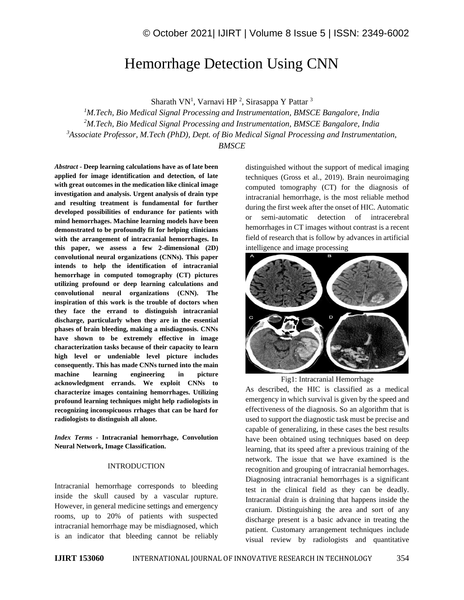# Hemorrhage Detection Using CNN

Sharath VN<sup>1</sup>, Varnavi HP<sup>2</sup>, Sirasappa Y Pattar<sup>3</sup>

*M.Tech, Bio Medical Signal Processing and Instrumentation, BMSCE Bangalore, India M.Tech, Bio Medical Signal Processing and Instrumentation, BMSCE Bangalore, India Associate Professor, M.Tech (PhD), Dept. of Bio Medical Signal Processing and Instrumentation, BMSCE*

*Abstract -* **Deep learning calculations have as of late been applied for image identification and detection, of late with great outcomes in the medication like clinical image investigation and analysis. Urgent analysis of drain type and resulting treatment is fundamental for further developed possibilities of endurance for patients with mind hemorrhages. Machine learning models have been demonstrated to be profoundly fit for helping clinicians with the arrangement of intracranial hemorrhages. In this paper, we assess a few 2-dimensional (2D) convolutional neural organizations (CNNs). This paper intends to help the identification of intracranial hemorrhage in computed tomography (CT) pictures utilizing profound or deep learning calculations and convolutional neural organizations (CNN). The inspiration of this work is the trouble of doctors when they face the errand to distinguish intracranial discharge, particularly when they are in the essential phases of brain bleeding, making a misdiagnosis. CNNs have shown to be extremely effective in image characterization tasks because of their capacity to learn high level or undeniable level picture includes consequently. This has made CNNs turned into the main machine learning engineering in picture acknowledgment errands. We exploit CNNs to characterize images containing hemorrhages. Utilizing profound learning techniques might help radiologists in recognizing inconspicuous rrhages that can be hard for radiologists to distinguish all alone.**

*Index Terms -* **Intracranial hemorrhage, Convolution Neural Network, Image Classification.**

### INTRODUCTION

Intracranial hemorrhage corresponds to bleeding inside the skull caused by a vascular rupture. However, in general medicine settings and emergency rooms, up to 20% of patients with suspected intracranial hemorrhage may be misdiagnosed, which is an indicator that bleeding cannot be reliably distinguished without the support of medical imaging techniques (Gross et al., 2019). Brain neuroimaging computed tomography (CT) for the diagnosis of intracranial hemorrhage, is the most reliable method during the first week after the onset of HIC. Automatic or semi-automatic detection of intracerebral hemorrhages in CT images without contrast is a recent field of research that is follow by advances in artificial intelligence and image processing



Fig1: Intracranial Hemorrhage

As described, the HIC is classified as a medical emergency in which survival is given by the speed and effectiveness of the diagnosis. So an algorithm that is used to support the diagnostic task must be precise and capable of generalizing, in these cases the best results have been obtained using techniques based on deep learning, that its speed after a previous training of the network. The issue that we have examined is the recognition and grouping of intracranial hemorrhages. Diagnosing intracranial hemorrhages is a significant test in the clinical field as they can be deadly. Intracranial drain is draining that happens inside the cranium. Distinguishing the area and sort of any discharge present is a basic advance in treating the patient. Customary arrangement techniques include visual review by radiologists and quantitative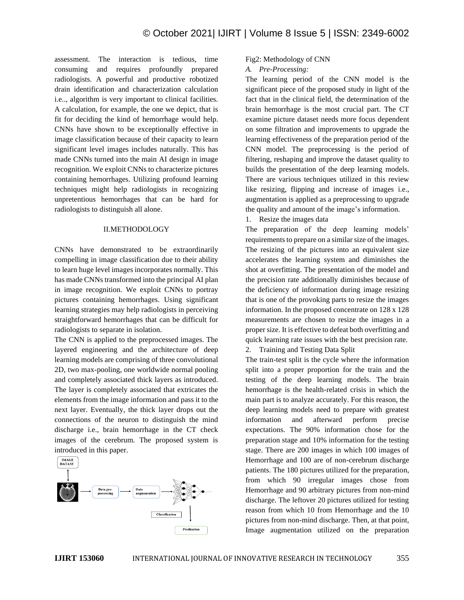assessment. The interaction is tedious, time consuming and requires profoundly prepared radiologists. A powerful and productive robotized drain identification and characterization calculation i.e.., algorithm is very important to clinical facilities. A calculation, for example, the one we depict, that is fit for deciding the kind of hemorrhage would help. CNNs have shown to be exceptionally effective in image classification because of their capacity to learn significant level images includes naturally. This has made CNNs turned into the main AI design in image recognition. We exploit CNNs to characterize pictures containing hemorrhages. Utilizing profound learning techniques might help radiologists in recognizing unpretentious hemorrhages that can be hard for radiologists to distinguish all alone.

## II.METHODOLOGY

CNNs have demonstrated to be extraordinarily compelling in image classification due to their ability to learn huge level images incorporates normally. This has made CNNs transformed into the principal AI plan in image recognition. We exploit CNNs to portray pictures containing hemorrhages. Using significant learning strategies may help radiologists in perceiving straightforward hemorrhages that can be difficult for radiologists to separate in isolation.

The CNN is applied to the preprocessed images. The layered engineering and the architecture of deep learning models are comprising of three convolutional 2D, two max-pooling, one worldwide normal pooling and completely associated thick layers as introduced. The layer is completely associated that extricates the elements from the image information and pass it to the next layer. Eventually, the thick layer drops out the connections of the neuron to distinguish the mind discharge i.e., brain hemorrhage in the CT check images of the cerebrum. The proposed system is introduced in this paper.



# Fig2: Methodology of CNN

## *A. Pre-Processing:*

The learning period of the CNN model is the significant piece of the proposed study in light of the fact that in the clinical field, the determination of the brain hemorrhage is the most crucial part. The CT examine picture dataset needs more focus dependent on some filtration and improvements to upgrade the learning effectiveness of the preparation period of the CNN model. The preprocessing is the period of filtering, reshaping and improve the dataset quality to builds the presentation of the deep learning models. There are various techniques utilized in this review like resizing, flipping and increase of images i.e., augmentation is applied as a preprocessing to upgrade the quality and amount of the image's information.

## 1. Resize the images data

The preparation of the deep learning models' requirements to prepare on a similar size of the images. The resizing of the pictures into an equivalent size accelerates the learning system and diminishes the shot at overfitting. The presentation of the model and the precision rate additionally diminishes because of the deficiency of information during image resizing that is one of the provoking parts to resize the images information. In the proposed concentrate on 128 x 128 measurements are chosen to resize the images in a proper size. It is effective to defeat both overfitting and quick learning rate issues with the best precision rate.

2. Training and Testing Data Split

The train-test split is the cycle where the information split into a proper proportion for the train and the testing of the deep learning models. The brain hemorrhage is the health-related crisis in which the main part is to analyze accurately. For this reason, the deep learning models need to prepare with greatest information and afterward perform precise expectations. The 90% information chose for the preparation stage and 10% information for the testing stage. There are 200 images in which 100 images of Hemorrhage and 100 are of non-cerebrum discharge patients. The 180 pictures utilized for the preparation, from which 90 irregular images chose from Hemorrhage and 90 arbitrary pictures from non-mind discharge. The leftover 20 pictures utilized for testing reason from which 10 from Hemorrhage and the 10 pictures from non-mind discharge. Then, at that point, Image augmentation utilized on the preparation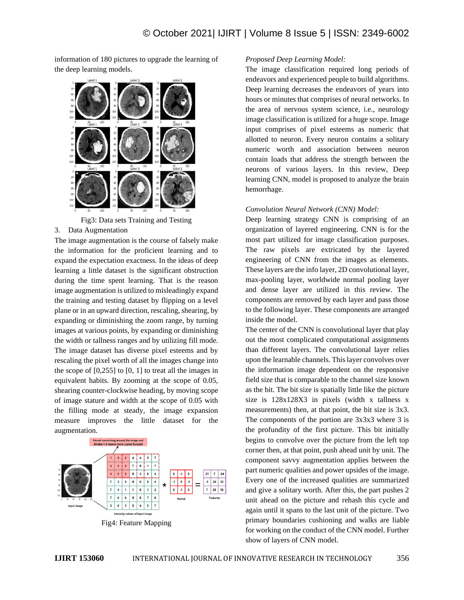information of 180 pictures to upgrade the learning of the deep learning models.



Fig3: Data sets Training and Testing

3. Data Augmentation

The image augmentation is the course of falsely make the information for the proficient learning and to expand the expectation exactness. In the ideas of deep learning a little dataset is the significant obstruction during the time spent learning. That is the reason image augmentation is utilized to misleadingly expand the training and testing dataset by flipping on a level plane or in an upward direction, rescaling, shearing, by expanding or diminishing the zoom range, by turning images at various points, by expanding or diminishing the width or tallness ranges and by utilizing fill mode. The image dataset has diverse pixel esteems and by rescaling the pixel worth of all the images change into the scope of  $[0,255]$  to  $[0, 1]$  to treat all the images in equivalent habits. By zooming at the scope of 0.05, shearing counter-clockwise heading, by moving scope of image stature and width at the scope of 0.05 with the filling mode at steady, the image expansion measure improves the little dataset for the augmentation.



## *Proposed Deep Learning Model:*

The image classification required long periods of endeavors and experienced people to build algorithms. Deep learning decreases the endeavors of years into hours or minutes that comprises of neural networks. In the area of nervous system science, i.e., neurology image classification is utilized for a huge scope. Image input comprises of pixel esteems as numeric that allotted to neuron. Every neuron contains a solitary numeric worth and association between neuron contain loads that address the strength between the neurons of various layers. In this review, Deep learning CNN, model is proposed to analyze the brain hemorrhage.

## *Convolution Neural Network (CNN) Model:*

Deep learning strategy CNN is comprising of an organization of layered engineering. CNN is for the most part utilized for image classification purposes. The raw pixels are extricated by the layered engineering of CNN from the images as elements. These layers are the info layer, 2D convolutional layer, max-pooling layer, worldwide normal pooling layer and dense layer are utilized in this review. The components are removed by each layer and pass those to the following layer. These components are arranged inside the model.

The center of the CNN is convolutional layer that play out the most complicated computational assignments than different layers. The convolutional layer relies upon the learnable channels. This layer convolves over the information image dependent on the responsive field size that is comparable to the channel size known as the bit. The bit size is spatially little like the picture size is 128x128X3 in pixels (width x tallness x measurements) then, at that point, the bit size is 3x3. The components of the portion are  $3x3x3$  where 3 is the profundity of the first picture. This bit initially begins to convolve over the picture from the left top corner then, at that point, push ahead unit by unit. The component savvy augmentation applies between the part numeric qualities and power upsides of the image. Every one of the increased qualities are summarized and give a solitary worth. After this, the part pushes 2 unit ahead on the picture and rehash this cycle and again until it spans to the last unit of the picture. Two primary boundaries cushioning and walks are liable for working on the conduct of the CNN model. Further show of layers of CNN model.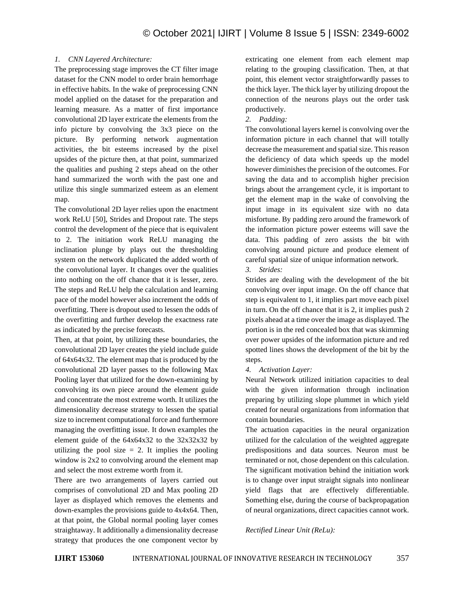# *1. CNN Layered Architecture:*

The preprocessing stage improves the CT filter image dataset for the CNN model to order brain hemorrhage in effective habits. In the wake of preprocessing CNN model applied on the dataset for the preparation and learning measure. As a matter of first importance convolutional 2D layer extricate the elements from the info picture by convolving the 3x3 piece on the picture. By performing network augmentation activities, the bit esteems increased by the pixel upsides of the picture then, at that point, summarized the qualities and pushing 2 steps ahead on the other hand summarized the worth with the past one and utilize this single summarized esteem as an element map.

The convolutional 2D layer relies upon the enactment work ReLU [50], Strides and Dropout rate. The steps control the development of the piece that is equivalent to 2. The initiation work ReLU managing the inclination plunge by plays out the thresholding system on the network duplicated the added worth of the convolutional layer. It changes over the qualities into nothing on the off chance that it is lesser, zero. The steps and ReLU help the calculation and learning pace of the model however also increment the odds of overfitting. There is dropout used to lessen the odds of the overfitting and further develop the exactness rate as indicated by the precise forecasts.

Then, at that point, by utilizing these boundaries, the convolutional 2D layer creates the yield include guide of 64x64x32. The element map that is produced by the convolutional 2D layer passes to the following Max Pooling layer that utilized for the down-examining by convolving its own piece around the element guide and concentrate the most extreme worth. It utilizes the dimensionality decrease strategy to lessen the spatial size to increment computational force and furthermore managing the overfitting issue. It down examples the element guide of the  $64x64x32$  to the  $32x32x32$  by utilizing the pool size  $= 2$ . It implies the pooling window is  $2x2$  to convolving around the element map and select the most extreme worth from it.

There are two arrangements of layers carried out comprises of convolutional 2D and Max pooling 2D layer as displayed which removes the elements and down-examples the provisions guide to 4x4x64. Then, at that point, the Global normal pooling layer comes straightaway. It additionally a dimensionality decrease strategy that produces the one component vector by extricating one element from each element map relating to the grouping classification. Then, at that point, this element vector straightforwardly passes to the thick layer. The thick layer by utilizing dropout the connection of the neurons plays out the order task productively.

*2. Padding:*

The convolutional layers kernel is convolving over the information picture in each channel that will totally decrease the measurement and spatial size. This reason the deficiency of data which speeds up the model however diminishes the precision of the outcomes. For saving the data and to accomplish higher precision brings about the arrangement cycle, it is important to get the element map in the wake of convolving the input image in its equivalent size with no data misfortune. By padding zero around the framework of the information picture power esteems will save the data. This padding of zero assists the bit with convolving around picture and produce element of careful spatial size of unique information network.

*3. Strides:*

Strides are dealing with the development of the bit convolving over input image. On the off chance that step is equivalent to 1, it implies part move each pixel in turn. On the off chance that it is 2, it implies push 2 pixels ahead at a time over the image as displayed. The portion is in the red concealed box that was skimming over power upsides of the information picture and red spotted lines shows the development of the bit by the steps.

*4. Activation Layer:*

Neural Network utilized initiation capacities to deal with the given information through inclination preparing by utilizing slope plummet in which yield created for neural organizations from information that contain boundaries.

The actuation capacities in the neural organization utilized for the calculation of the weighted aggregate predispositions and data sources. Neuron must be terminated or not, chose dependent on this calculation. The significant motivation behind the initiation work is to change over input straight signals into nonlinear yield flags that are effectively differentiable. Something else, during the course of backpropagation of neural organizations, direct capacities cannot work.

*Rectified Linear Unit (ReLu):*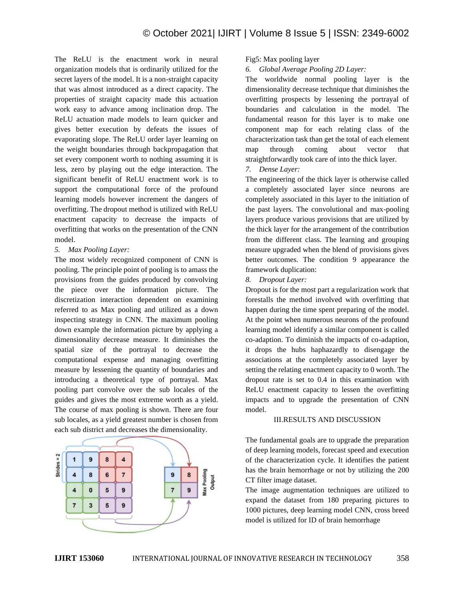The ReLU is the enactment work in neural organization models that is ordinarily utilized for the secret layers of the model. It is a non-straight capacity that was almost introduced as a direct capacity. The properties of straight capacity made this actuation work easy to advance among inclination drop. The ReLU actuation made models to learn quicker and gives better execution by defeats the issues of evaporating slope. The ReLU order layer learning on the weight boundaries through backpropagation that set every component worth to nothing assuming it is less, zero by playing out the edge interaction. The significant benefit of ReLU enactment work is to support the computational force of the profound learning models however increment the dangers of overfitting. The dropout method is utilized with ReLU enactment capacity to decrease the impacts of overfitting that works on the presentation of the CNN model.

# *5. Max Pooling Layer:*

The most widely recognized component of CNN is pooling. The principle point of pooling is to amass the provisions from the guides produced by convolving the piece over the information picture. The discretization interaction dependent on examining referred to as Max pooling and utilized as a down inspecting strategy in CNN. The maximum pooling down example the information picture by applying a dimensionality decrease measure. It diminishes the spatial size of the portrayal to decrease the computational expense and managing overfitting measure by lessening the quantity of boundaries and introducing a theoretical type of portrayal. Max pooling part convolve over the sub locales of the guides and gives the most extreme worth as a yield. The course of max pooling is shown. There are four sub locales, as a yield greatest number is chosen from each sub district and decreases the dimensionality.



# Fig5: Max pooling layer

*6. Global Average Pooling 2D Layer:*

The worldwide normal pooling layer is the dimensionality decrease technique that diminishes the overfitting prospects by lessening the portrayal of boundaries and calculation in the model. The fundamental reason for this layer is to make one component map for each relating class of the characterization task than get the total of each element map through coming about vector that straightforwardly took care of into the thick layer. *7. Dense Layer:*

The engineering of the thick layer is otherwise called a completely associated layer since neurons are completely associated in this layer to the initiation of the past layers. The convolutional and max-pooling layers produce various provisions that are utilized by the thick layer for the arrangement of the contribution from the different class. The learning and grouping measure upgraded when the blend of provisions gives better outcomes. The condition 9 appearance the framework duplication:

# *8. Dropout Layer:*

Dropout is for the most part a regularization work that forestalls the method involved with overfitting that happen during the time spent preparing of the model. At the point when numerous neurons of the profound learning model identify a similar component is called co-adaption. To diminish the impacts of co-adaption, it drops the hubs haphazardly to disengage the associations at the completely associated layer by setting the relating enactment capacity to 0 worth. The dropout rate is set to 0.4 in this examination with ReLU enactment capacity to lessen the overfitting impacts and to upgrade the presentation of CNN model.

# III.RESULTS AND DISCUSSION

The fundamental goals are to upgrade the preparation of deep learning models, forecast speed and execution of the characterization cycle. It identifies the patient has the brain hemorrhage or not by utilizing the 200 CT filter image dataset.

The image augmentation techniques are utilized to expand the dataset from 180 preparing pictures to 1000 pictures, deep learning model CNN, cross breed model is utilized for ID of brain hemorrhage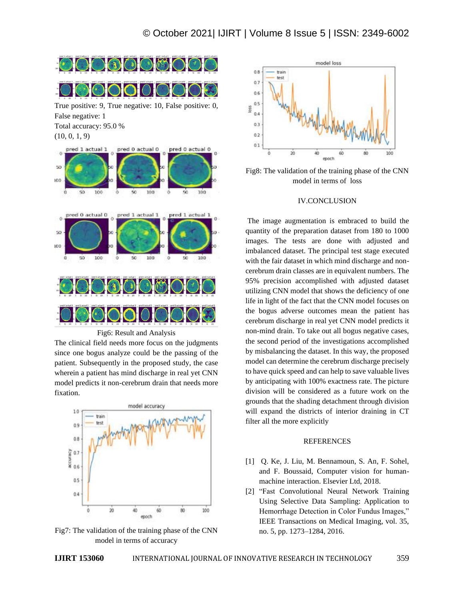

Fig6: Result and Analysis

The clinical field needs more focus on the judgments since one bogus analyze could be the passing of the patient. Subsequently in the proposed study, the case wherein a patient has mind discharge in real yet CNN model predicts it non-cerebrum drain that needs more fixation.



Fig7: The validation of the training phase of the CNN model in terms of accuracy



Fig8: The validation of the training phase of the CNN model in terms of loss

## IV.CONCLUSION

The image augmentation is embraced to build the quantity of the preparation dataset from 180 to 1000 images. The tests are done with adjusted and imbalanced dataset. The principal test stage executed with the fair dataset in which mind discharge and noncerebrum drain classes are in equivalent numbers. The 95% precision accomplished with adjusted dataset utilizing CNN model that shows the deficiency of one life in light of the fact that the CNN model focuses on the bogus adverse outcomes mean the patient has cerebrum discharge in real yet CNN model predicts it non-mind drain. To take out all bogus negative cases, the second period of the investigations accomplished by misbalancing the dataset. In this way, the proposed model can determine the cerebrum discharge precisely to have quick speed and can help to save valuable lives by anticipating with 100% exactness rate. The picture division will be considered as a future work on the grounds that the shading detachment through division will expand the districts of interior draining in CT filter all the more explicitly

## **REFERENCES**

- [1] Q. Ke, J. Liu, M. Bennamoun, S. An, F. Sohel, and F. Boussaid, Computer vision for humanmachine interaction. Elsevier Ltd, 2018.
- [2] "Fast Convolutional Neural Network Training Using Selective Data Sampling: Application to Hemorrhage Detection in Color Fundus Images," IEEE Transactions on Medical Imaging, vol. 35, no. 5, pp. 1273–1284, 2016.